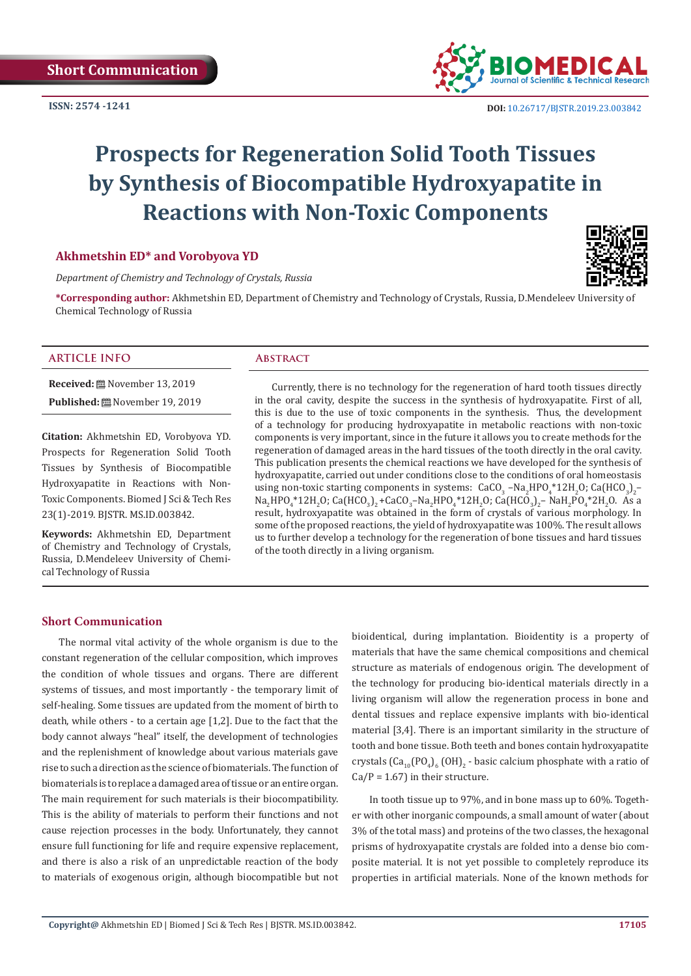

 **DOI:** [10.26717/BJSTR.2019.23.0038](http://dx.doi.org/10.26717/BJSTR.2019.23.003842)42

# **Prospects for Regeneration Solid Tooth Tissues by Synthesis of Biocompatible Hydroxyapatite in Reactions with Non-Toxic Components**

#### **Akhmetshin ED\* and Vorobyova YD**

*Department of Chemistry and Technology of Crystals, Russia*

**\*Corresponding author:** Akhmetshin ED, Department of Chemistry and Technology of Crystals, Russia, D.Mendeleev University of Chemical Technology of Russia

#### **ARTICLE INFO Abstract**

**Received:** November 13, 2019 **Published:** November 19, 2019

**Citation:** Akhmetshin ED, Vorobyova YD. Prospects for Regeneration Solid Tooth Tissues by Synthesis of Biocompatible Hydroxyapatite in Reactions with Non-Toxic Components. Biomed J Sci & Tech Res 23(1)-2019. BJSTR. MS.ID.003842.

**Keywords:** Akhmetshin ED, Department of Chemistry and Technology of Crystals, Russia, D.Mendeleev University of Chemical Technology of Russia

Currently, there is no technology for the regeneration of hard tooth tissues directly in the oral cavity, despite the success in the synthesis of hydroxyapatite. First of all, this is due to the use of toxic components in the synthesis. Thus, the development of a technology for producing hydroxyapatite in metabolic reactions with non-toxic components is very important, since in the future it allows you to create methods for the regeneration of damaged areas in the hard tissues of the tooth directly in the oral cavity. This publication presents the chemical reactions we have developed for the synthesis of hydroxyapatite, carried out under conditions close to the conditions of oral homeostasis using non-toxic starting components in systems:  $CaCO_3$  –Na<sub>2</sub>HPO<sub>4</sub>\*12H<sub>2</sub>O;  $Ca(HCO_3)_{2}$ –  $Na_2HPO_4*12H_2O$ ; Ca(HCO<sub>3</sub>)<sub>2</sub>+CaCO<sub>3</sub>-Na<sub>2</sub>HPO<sub>4</sub>\*12H<sub>2</sub>O; Ca(HCO<sub>3</sub>)<sub>2</sub>-NaH<sub>2</sub>PO<sub>4</sub>\*2H<sub>2</sub>O. As a result, hydroxyapatite was obtained in the form of crystals of various morphology. In some of the proposed reactions, the yield of hydroxyapatite was 100%. The result allows us to further develop a technology for the regeneration of bone tissues and hard tissues of the tooth directly in a living organism.

#### **Short Communication**

The normal vital activity of the whole organism is due to the constant regeneration of the cellular composition, which improves the condition of whole tissues and organs. There are different systems of tissues, and most importantly - the temporary limit of self-healing. Some tissues are updated from the moment of birth to death, while others - to a certain age [1,2]. Due to the fact that the body cannot always "heal" itself, the development of technologies and the replenishment of knowledge about various materials gave rise to such a direction as the science of biomaterials. The function of biomaterials is to replace a damaged area of tissue or an entire organ. The main requirement for such materials is their biocompatibility. This is the ability of materials to perform their functions and not cause rejection processes in the body. Unfortunately, they cannot ensure full functioning for life and require expensive replacement, and there is also a risk of an unpredictable reaction of the body to materials of exogenous origin, although biocompatible but not bioidentical, during implantation. Bioidentity is a property of materials that have the same chemical compositions and chemical structure as materials of endogenous origin. The development of the technology for producing bio-identical materials directly in a living organism will allow the regeneration process in bone and dental tissues and replace expensive implants with bio-identical material [3,4]. There is an important similarity in the structure of tooth and bone tissue. Both teeth and bones contain hydroxyapatite crystals (Ca<sub>10</sub>(PO<sub>4</sub>)<sub>6</sub> (OH)<sub>2</sub> - basic calcium phosphate with a ratio of  $Ca/P = 1.67$ ) in their structure.

In tooth tissue up to 97%, and in bone mass up to 60%. Together with other inorganic compounds, a small amount of water (about 3% of the total mass) and proteins of the two classes, the hexagonal prisms of hydroxyapatite crystals are folded into a dense bio composite material. It is not yet possible to completely reproduce its properties in artificial materials. None of the known methods for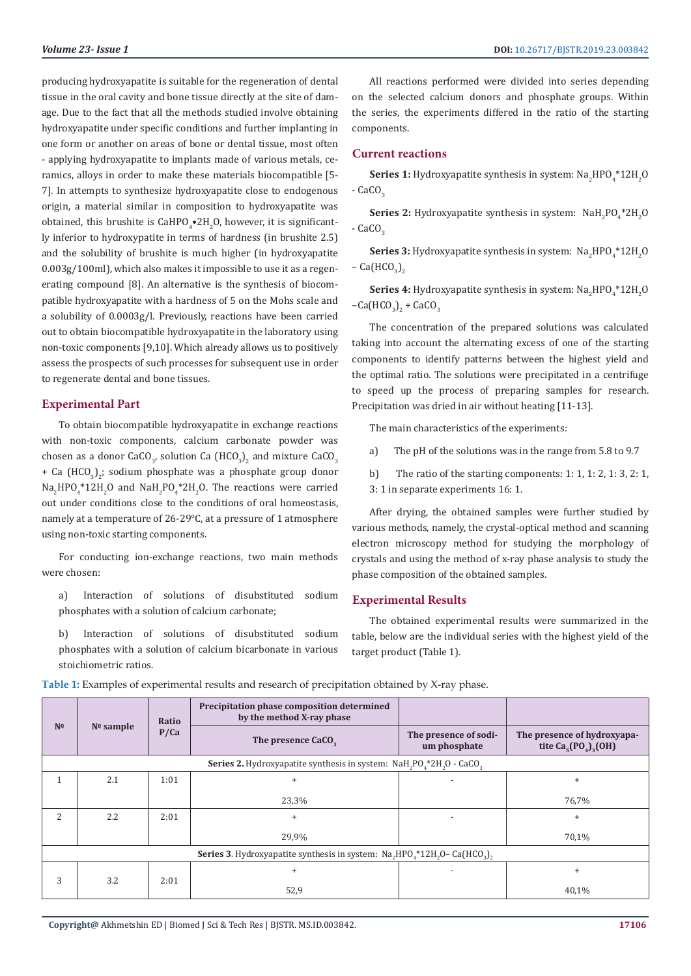producing hydroxyapatite is suitable for the regeneration of dental tissue in the oral cavity and bone tissue directly at the site of damage. Due to the fact that all the methods studied involve obtaining hydroxyapatite under specific conditions and further implanting in one form or another on areas of bone or dental tissue, most often - applying hydroxyapatite to implants made of various metals, ceramics, alloys in order to make these materials biocompatible [5- 7]. In attempts to synthesize hydroxyapatite close to endogenous origin, a material similar in composition to hydroxyapatite was obtained, this brushite is  $\text{CaHPO}_{4}^{\bullet}$ 2H $_{2}$ O, however, it is significantly inferior to hydroxypatite in terms of hardness (in brushite 2.5) and the solubility of brushite is much higher (in hydroxyapatite 0.003g/100ml), which also makes it impossible to use it as a regenerating compound [8]. An alternative is the synthesis of biocompatible hydroxyapatite with a hardness of 5 on the Mohs scale and a solubility of 0.0003g/l. Previously, reactions have been carried out to obtain biocompatible hydroxyapatite in the laboratory using non-toxic components [9,10]. Which already allows us to positively assess the prospects of such processes for subsequent use in order to regenerate dental and bone tissues.

#### **Experimental Part**

To obtain biocompatible hydroxyapatite in exchange reactions with non-toxic components, calcium carbonate powder was chosen as a donor CaCO<sub>3</sub>, solution Ca  $(HCO_3)_2$  and mixture CaCO<sub>3</sub> + Ca  $(HCO<sub>3</sub>)<sub>2</sub>$ ; sodium phosphate was a phosphate group donor  $Na<sub>2</sub>HPO<sub>4</sub>$ \*12H<sub>2</sub>O and  $NaH<sub>2</sub>PO<sub>4</sub>$ \*2H<sub>2</sub>O. The reactions were carried out under conditions close to the conditions of oral homeostasis, namely at a temperature of 26-29°C, at a pressure of 1 atmosphere using non-toxic starting components.

For conducting ion-exchange reactions, two main methods were chosen:

- a) Interaction of solutions of disubstituted sodium phosphates with a solution of calcium carbonate;
- b) Interaction of solutions of disubstituted sodium phosphates with a solution of calcium bicarbonate in various stoichiometric ratios.

All reactions performed were divided into series depending on the selected calcium donors and phosphate groups. Within the series, the experiments differed in the ratio of the starting components.

#### **Current reactions**

**Series 1:** Hydroxyapatite synthesis in system: Na<sub>2</sub>HPO<sub>4</sub>\*12H<sub>2</sub>O  $-$  CaCO<sub>2</sub>

**Series 2:** Hydroxyapatite synthesis in system:  $NAH_2PO_4^*2H_2O$  $-$  CaCO<sub> $3$ </sub>

**Series 3:** Hydroxyapatite synthesis in system:  $\text{Na}_2\text{HPO}_4^*12\text{H}_2\text{O}$ – Ca $(\text{HCO}_3)_{2}$ 

**Series 4:** Hydroxyapatite synthesis in system: Na<sub>2</sub>HPO<sub>4</sub>\*12H<sub>2</sub>O  $-Ca(HCO<sub>3</sub>)<sub>2</sub> + CaCO<sub>3</sub>$ 

The concentration of the prepared solutions was calculated taking into account the alternating excess of one of the starting components to identify patterns between the highest yield and the optimal ratio. The solutions were precipitated in a centrifuge to speed up the process of preparing samples for research. Precipitation was dried in air without heating [11-13].

The main characteristics of the experiments:

- a) The pH of the solutions was in the range from 5.8 to 9.7
- b) The ratio of the starting components: 1: 1, 1: 2, 1: 3, 2: 1, 3: 1 in separate experiments 16: 1.

After drying, the obtained samples were further studied by various methods, namely, the crystal-optical method and scanning electron microscopy method for studying the morphology of crystals and using the method of x-ray phase analysis to study the phase composition of the obtained samples.

#### **Experimental Results**

The obtained experimental results were summarized in the table, below are the individual series with the highest yield of the target product (Table 1).

| N <sub>2</sub>                                                                                                        | $No$ sample | Ratio<br>P/Ca | Precipitation phase composition determined<br>by the method X-ray phase |                                       |                                                     |  |  |  |  |
|-----------------------------------------------------------------------------------------------------------------------|-------------|---------------|-------------------------------------------------------------------------|---------------------------------------|-----------------------------------------------------|--|--|--|--|
|                                                                                                                       |             |               | The presence CaCO <sub>2</sub>                                          | The presence of sodi-<br>um phosphate | The presence of hydroxyapa-<br>tite $Ca5(PO4)3(OH)$ |  |  |  |  |
| Series 2. Hydroxyapatite synthesis in system: NaH <sub>2</sub> PO <sub>4</sub> *2H <sub>2</sub> O - CaCO <sub>3</sub> |             |               |                                                                         |                                       |                                                     |  |  |  |  |
|                                                                                                                       | 2.1         | 1:01          | $\ddot{}$                                                               |                                       | $\ddot{}$                                           |  |  |  |  |
|                                                                                                                       |             |               | 23,3%                                                                   |                                       | 76,7%                                               |  |  |  |  |
| $\overline{a}$                                                                                                        | 2.2         | 2:01          | $\ddot{}$                                                               |                                       | $\ddot{}$                                           |  |  |  |  |
|                                                                                                                       |             |               | 29,9%                                                                   |                                       | 70,1%                                               |  |  |  |  |
| <b>Series 3.</b> Hydroxyapatite synthesis in system: $Na_{2}HPO_{4}^{*}12H_{2}O-Ca(HCO_{3})$ ,                        |             |               |                                                                         |                                       |                                                     |  |  |  |  |
| 3                                                                                                                     | 3.2         | 2:01          | $\ddot{}$                                                               |                                       | $\ddot{}$                                           |  |  |  |  |
|                                                                                                                       |             |               | 52,9                                                                    |                                       | 40,1%                                               |  |  |  |  |

**Table 1:** Examples of experimental results and research of precipitation obtained by X-ray phase.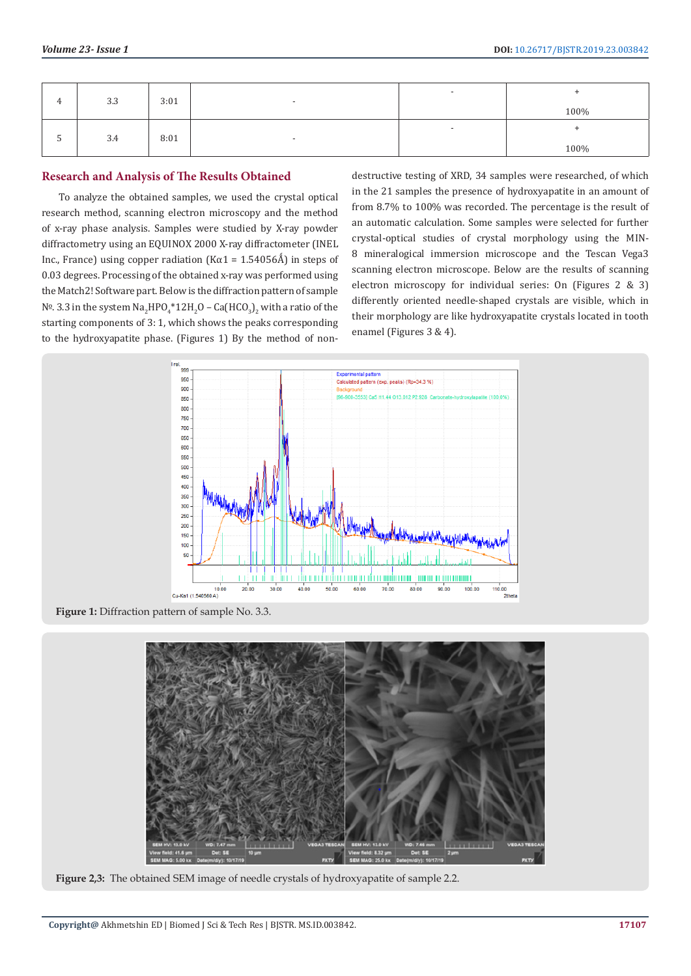|                          | 3.3 | 3:01 | $\overline{\phantom{a}}$ |        | 100% |
|--------------------------|-----|------|--------------------------|--------|------|
| $\overline{\phantom{a}}$ | 3.4 | 8:01 | $\overline{\phantom{0}}$ | $\sim$ | 100% |

### **Research and Analysis of The Results Obtained**

To analyze the obtained samples, we used the crystal optical research method, scanning electron microscopy and the method of x-ray phase analysis. Samples were studied by X-ray powder diffractometry using an EQUINOX 2000 X-ray diffractometer (INEL Inc., France) using copper radiation (Kα1 =  $1.54056\text{\AA}$ ) in steps of 0.03 degrees. Processing of the obtained x-ray was performed using the Match2! Software part. Below is the diffraction pattern of sample  $\mathsf{N}^{\mathsf{D}}$ . 3.3 in the system  $\mathsf{Na}_2\mathsf{HPO}_4^*\text{12H}_2\mathsf{O}$  – Ca $(\mathsf{HCO}_3)_2$  with a ratio of the starting components of 3: 1, which shows the peaks corresponding to the hydroxyapatite phase. (Figures 1) By the method of nondestructive testing of XRD, 34 samples were researched, of which in the 21 samples the presence of hydroxyapatite in an amount of from 8.7% to 100% was recorded. The percentage is the result of an automatic calculation. Some samples were selected for further crystal-optical studies of crystal morphology using the MIN-8 mineralogical immersion microscope and the Tescan Vega3 scanning electron microscope. Below are the results of scanning electron microscopy for individual series: On (Figures 2 & 3) differently oriented needle-shaped crystals are visible, which in their morphology are like hydroxyapatite crystals located in tooth enamel (Figures 3 & 4).



**Figure 1:** Diffraction pattern of sample No. 3.3.



**Figure 2,3:** The obtained SEM image of needle crystals of hydroxyapatite of sample 2.2.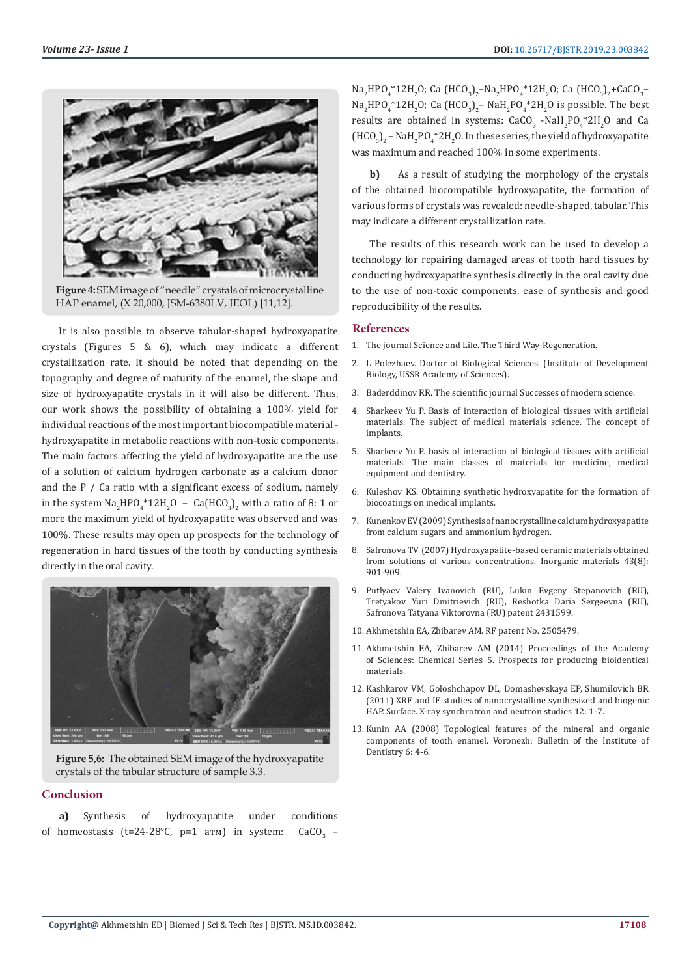

**Figure 4:** SEM image of "needle" crystals of microcrystalline HAP enamel, (X 20,000, JSM-6380LV, JEOL) [11,12].

It is also possible to observe tabular-shaped hydroxyapatite crystals (Figures 5 & 6), which may indicate a different crystallization rate. It should be noted that depending on the topography and degree of maturity of the enamel, the shape and size of hydroxyapatite crystals in it will also be different. Thus, our work shows the possibility of obtaining a 100% yield for individual reactions of the most important biocompatible material hydroxyapatite in metabolic reactions with non-toxic components. The main factors affecting the yield of hydroxyapatite are the use of a solution of calcium hydrogen carbonate as a calcium donor and the P / Ca ratio with a significant excess of sodium, namely in the system  $\text{Na}_2\text{HPO}_4^*\text{12H}_2\text{O}$  –  $\text{Ca}(\text{HCO}_3)_2$  with a ratio of 8: 1 or more the maximum yield of hydroxyapatite was observed and was 100%. These results may open up prospects for the technology of regeneration in hard tissues of the tooth by conducting synthesis directly in the oral cavity.



**Figure 5,6:** The obtained SEM image of the hydroxyapatite crystals of the tabular structure of sample 3.3.

### **Conclusion**

**a)** Synthesis of hydroxyapatite under conditions of homeostasis ( $t=24-28$ °C,  $p=1$  arm) in system: CaCO<sub>2</sub>  $-$   $\text{Na}_2\text{HPO}_4^*12\text{H}_2\text{O}$ ; Ca (HCO<sub>3</sub>)<sub>2</sub>–Na<sub>2</sub>HPO<sub>4</sub>\*12H<sub>2</sub>O; Ca (HCO<sub>3</sub>)<sub>2</sub>+CaCO<sub>3</sub>–  $\text{Na}_2\text{HPO}_4^*12\text{H}_2\text{O}$ ; Ca (HCO<sub>3</sub>)<sub>2</sub>– NaH<sub>2</sub>PO<sub>4</sub>\*2H<sub>2</sub>O is possible. The best results are obtained in systems:  $CaCO<sub>3</sub>$  -NaH<sub>2</sub>PO<sub>4</sub>\*2H<sub>2</sub>O and Ca  $(HCO<sub>3</sub>)<sub>2</sub>$  – NaH<sub>2</sub>PO<sub>4</sub>\*2H<sub>2</sub>O. In these series, the yield of hydroxyapatite was maximum and reached 100% in some experiments.

**b)** As a result of studying the morphology of the crystals of the obtained biocompatible hydroxyapatite, the formation of various forms of crystals was revealed: needle-shaped, tabular. This may indicate a different crystallization rate.

The results of this research work can be used to develop a technology for repairing damaged areas of tooth hard tissues by conducting hydroxyapatite synthesis directly in the oral cavity due to the use of non-toxic components, ease of synthesis and good reproducibility of the results.

#### **References**

- 1. The journal Science and Life. The Third Way-Regeneration.
- 2. L Polezhaev. Doctor of Biological Sciences. (Institute of Development Biology, USSR Academy of Sciences).
- 3. Baderddinov RR. The scientific journal Successes of modern science.
- 4. Sharkeev Yu P. Basis of interaction of biological tissues with artificial materials. The subject of medical materials science. The concept of implants.
- 5. Sharkeev Yu P. basis of interaction of biological tissues with artificial materials. The main classes of materials for medicine, medical equipment and dentistry.
- 6. Kuleshov KS. Obtaining synthetic hydroxyapatite for the formation of biocoatings on medical implants.
- 7. [Kunenkov EV \(2009\) Synthesis of nanocrystalline calcium hydroxyapatite](https://www.semanticscholar.org/paper/Synthesis-of-nanocrystalline-calcium-hydroxyapatite-Safronova-Putlyaev/1df37acc6bd3730b3cb89a0d0009e14fde4597b5) [from calcium sugars and ammonium hydrogen.](https://www.semanticscholar.org/paper/Synthesis-of-nanocrystalline-calcium-hydroxyapatite-Safronova-Putlyaev/1df37acc6bd3730b3cb89a0d0009e14fde4597b5)
- 8. [Safronova TV \(2007\) Hydroxyapatite-based ceramic materials obtained](https://link.springer.com/article/10.1134/S0020168507080158) [from solutions of various concentrations. Inorganic materials 43\(8\):](https://link.springer.com/article/10.1134/S0020168507080158) [901-909.](https://link.springer.com/article/10.1134/S0020168507080158)
- 9. Putlyaev Valery Ivanovich (RU), Lukin Evgeny Stepanovich (RU), Tretyakov Yuri Dmitrievich (RU), Reshotka Daria Sergeevna (RU), Safronova Tatyana Viktorovna (RU) patent 2431599.
- 10. Akhmetshin EA, Zhibarev AM. RF patent No. 2505479.
- 11. [Akhmetshin EA, Zhibarev AM \(2014\) Proceedings of the Academy](http://www.kirj.ee/proceedings) [of Sciences: Chemical Series 5. Prospects for producing bioidentical](http://www.kirj.ee/proceedings) [materials.](http://www.kirj.ee/proceedings)
- 12. Kashkarov VM, Goloshchapov DL, Domashevskaya EP, Shumilovich BR (2011) XRF and IF studies of nanocrystalline synthesized and biogenic HAP. Surface. X-ray synchrotron and neutron studies 12: 1-7.
- 13. Kunin AA (2008) Topological features of the mineral and organic components of tooth enamel. Voronezh: Bulletin of the Institute of Dentistry 6: 4-6.